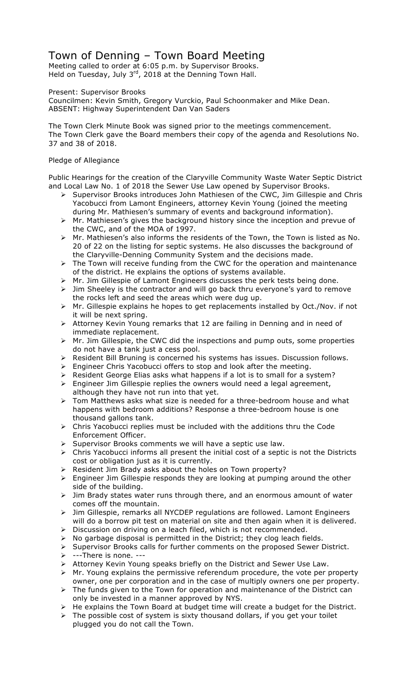# Town of Denning – Town Board Meeting

Meeting called to order at 6:05 p.m. by Supervisor Brooks. Held on Tuesday, July 3<sup>rd</sup>, 2018 at the Denning Town Hall.

Present: Supervisor Brooks

Councilmen: Kevin Smith, Gregory Vurckio, Paul Schoonmaker and Mike Dean. ABSENT: Highway Superintendent Dan Van Saders

The Town Clerk Minute Book was signed prior to the meetings commencement. The Town Clerk gave the Board members their copy of the agenda and Resolutions No. 37 and 38 of 2018.

# Pledge of Allegiance

Public Hearings for the creation of the Claryville Community Waste Water Septic District and Local Law No. 1 of 2018 the Sewer Use Law opened by Supervisor Brooks.

- ! Supervisor Brooks introduces John Mathiesen of the CWC, Jim Gillespie and Chris Yacobucci from Lamont Engineers, attorney Kevin Young (joined the meeting during Mr. Mathiesen's summary of events and background information).
- $\triangleright$  Mr. Mathiesen's gives the background history since the inception and prevue of the CWC, and of the MOA of 1997.
- $\triangleright$  Mr. Mathiesen's also informs the residents of the Town, the Town is listed as No. 20 of 22 on the listing for septic systems. He also discusses the background of the Claryville-Denning Community System and the decisions made.
- $\triangleright$  The Town will receive funding from the CWC for the operation and maintenance of the district. He explains the options of systems available.
- $\triangleright$  Mr. Jim Gillespie of Lamont Engineers discusses the perk tests being done.
- $\triangleright$  Jim Sheeley is the contractor and will go back thru everyone's yard to remove the rocks left and seed the areas which were dug up.
- ! Mr. Gillespie explains he hopes to get replacements installed by Oct./Nov. if not it will be next spring.
- $\triangleright$  Attorney Kevin Young remarks that 12 are failing in Denning and in need of immediate replacement.
- > Mr. Jim Gillespie, the CWC did the inspections and pump outs, some properties do not have a tank just a cess pool.
- $\triangleright$  Resident Bill Bruning is concerned his systems has issues. Discussion follows.
- $\triangleright$  Engineer Chris Yacobucci offers to stop and look after the meeting.
- $\triangleright$  Resident George Elias asks what happens if a lot is to small for a system?
- $\triangleright$  Engineer Jim Gillespie replies the owners would need a legal agreement, although they have not run into that yet.
- $\triangleright$  Tom Matthews asks what size is needed for a three-bedroom house and what happens with bedroom additions? Response a three-bedroom house is one thousand gallons tank.
- $\triangleright$  Chris Yacobucci replies must be included with the additions thru the Code Enforcement Officer.
- $\triangleright$  Supervisor Brooks comments we will have a septic use law.
- $\triangleright$  Chris Yacobucci informs all present the initial cost of a septic is not the Districts cost or obligation just as it is currently.
- ! Resident Jim Brady asks about the holes on Town property?
- $\triangleright$  Engineer Jim Gillespie responds they are looking at pumping around the other side of the building.
- $\geq$  Jim Brady states water runs through there, and an enormous amount of water comes off the mountain.
- > Jim Gillespie, remarks all NYCDEP regulations are followed. Lamont Engineers will do a borrow pit test on material on site and then again when it is delivered.
- > Discussion on driving on a leach filed, which is not recommended.
- $\triangleright$  No garbage disposal is permitted in the District; they clog leach fields.
- $\triangleright$  Supervisor Brooks calls for further comments on the proposed Sewer District.  $\triangleright$  ---There is none. ---
- ! Attorney Kevin Young speaks briefly on the District and Sewer Use Law.
- $\triangleright$  Mr. Young explains the permissive referendum procedure, the vote per property owner, one per corporation and in the case of multiply owners one per property.
- $\triangleright$  The funds given to the Town for operation and maintenance of the District can only be invested in a manner approved by NYS.
- $\triangleright$  He explains the Town Board at budget time will create a budget for the District.
- $\triangleright$  The possible cost of system is sixty thousand dollars, if you get your toilet plugged you do not call the Town.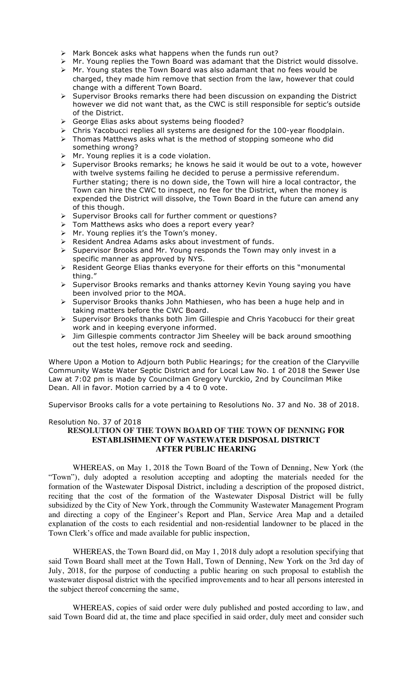- $\triangleright$  Mark Boncek asks what happens when the funds run out?
- $\triangleright$  Mr. Young replies the Town Board was adamant that the District would dissolve.
- $\triangleright$  Mr. Young states the Town Board was also adamant that no fees would be charged, they made him remove that section from the law, however that could change with a different Town Board.
- $\triangleright$  Supervisor Brooks remarks there had been discussion on expanding the District however we did not want that, as the CWC is still responsible for septic's outside of the District.
- ! George Elias asks about systems being flooded?
- $\triangleright$  Chris Yacobucci replies all systems are designed for the 100-year floodplain.
- > Thomas Matthews asks what is the method of stopping someone who did something wrong?
- $\triangleright$  Mr. Young replies it is a code violation.
- $\triangleright$  Supervisor Brooks remarks; he knows he said it would be out to a vote, however with twelve systems failing he decided to peruse a permissive referendum. Further stating; there is no down side, the Town will hire a local contractor, the Town can hire the CWC to inspect, no fee for the District, when the money is expended the District will dissolve, the Town Board in the future can amend any of this though.
- ! Supervisor Brooks call for further comment or questions?
- $\triangleright$  Tom Matthews asks who does a report every year?
- > Mr. Young replies it's the Town's money.
- $\triangleright$  Resident Andrea Adams asks about investment of funds.
- $\triangleright$  Supervisor Brooks and Mr. Young responds the Town may only invest in a specific manner as approved by NYS.
- ! Resident George Elias thanks everyone for their efforts on this "monumental thing."
- ! Supervisor Brooks remarks and thanks attorney Kevin Young saying you have been involved prior to the MOA.
- $\triangleright$  Supervisor Brooks thanks John Mathiesen, who has been a huge help and in taking matters before the CWC Board.
- > Supervisor Brooks thanks both Jim Gillespie and Chris Yacobucci for their great work and in keeping everyone informed.
- > Jim Gillespie comments contractor Jim Sheeley will be back around smoothing out the test holes, remove rock and seeding.

Where Upon a Motion to Adjourn both Public Hearings; for the creation of the Claryville Community Waste Water Septic District and for Local Law No. 1 of 2018 the Sewer Use Law at 7:02 pm is made by Councilman Gregory Vurckio, 2nd by Councilman Mike Dean. All in favor. Motion carried by a 4 to 0 vote.

Supervisor Brooks calls for a vote pertaining to Resolutions No. 37 and No. 38 of 2018.

# Resolution No. 37 of 2018

#### **RESOLUTION OF THE TOWN BOARD OF THE TOWN OF DENNING FOR ESTABLISHMENT OF WASTEWATER DISPOSAL DISTRICT AFTER PUBLIC HEARING**

WHEREAS, on May 1, 2018 the Town Board of the Town of Denning, New York (the "Town"), duly adopted a resolution accepting and adopting the materials needed for the formation of the Wastewater Disposal District, including a description of the proposed district, reciting that the cost of the formation of the Wastewater Disposal District will be fully subsidized by the City of New York, through the Community Wastewater Management Program and directing a copy of the Engineer's Report and Plan, Service Area Map and a detailed explanation of the costs to each residential and non-residential landowner to be placed in the Town Clerk's office and made available for public inspection,

WHEREAS, the Town Board did, on May 1, 2018 duly adopt a resolution specifying that said Town Board shall meet at the Town Hall, Town of Denning, New York on the 3rd day of July, 2018, for the purpose of conducting a public hearing on such proposal to establish the wastewater disposal district with the specified improvements and to hear all persons interested in the subject thereof concerning the same,

WHEREAS, copies of said order were duly published and posted according to law, and said Town Board did at, the time and place specified in said order, duly meet and consider such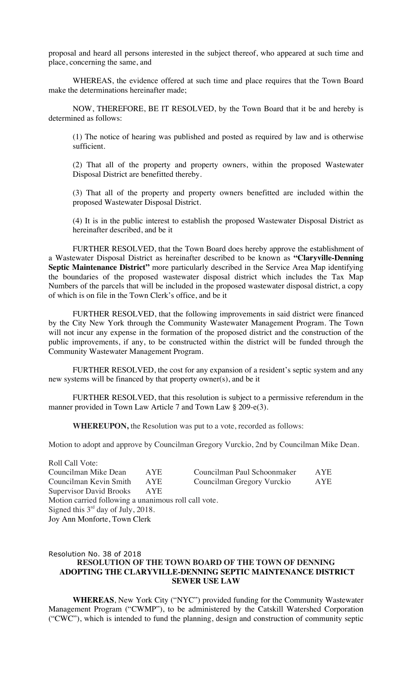proposal and heard all persons interested in the subject thereof, who appeared at such time and place, concerning the same, and

WHEREAS, the evidence offered at such time and place requires that the Town Board make the determinations hereinafter made;

NOW, THEREFORE, BE IT RESOLVED, by the Town Board that it be and hereby is determined as follows:

(1) The notice of hearing was published and posted as required by law and is otherwise sufficient.

(2) That all of the property and property owners, within the proposed Wastewater Disposal District are benefitted thereby.

(3) That all of the property and property owners benefitted are included within the proposed Wastewater Disposal District.

(4) It is in the public interest to establish the proposed Wastewater Disposal District as hereinafter described, and be it

FURTHER RESOLVED, that the Town Board does hereby approve the establishment of a Wastewater Disposal District as hereinafter described to be known as **"Claryville-Denning Septic Maintenance District"** more particularly described in the Service Area Map identifying the boundaries of the proposed wastewater disposal district which includes the Tax Map Numbers of the parcels that will be included in the proposed wastewater disposal district, a copy of which is on file in the Town Clerk's office, and be it

FURTHER RESOLVED, that the following improvements in said district were financed by the City New York through the Community Wastewater Management Program. The Town will not incur any expense in the formation of the proposed district and the construction of the public improvements, if any, to be constructed within the district will be funded through the Community Wastewater Management Program.

FURTHER RESOLVED, the cost for any expansion of a resident's septic system and any new systems will be financed by that property owner(s), and be it

FURTHER RESOLVED, that this resolution is subject to a permissive referendum in the manner provided in Town Law Article 7 and Town Law § 209-e(3).

**WHEREUPON,** the Resolution was put to a vote, recorded as follows:

Motion to adopt and approve by Councilman Gregory Vurckio, 2nd by Councilman Mike Dean.

Roll Call Vote: Councilman Mike Dean AYE Councilman Paul Schoonmaker AYE Councilman Kevin Smith AYE Councilman Gregory Vurckio AYE Supervisor David Brooks AYE Motion carried following a unanimous roll call vote. Signed this  $3<sup>rd</sup>$  day of July, 2018. Joy Ann Monforte, Town Clerk

#### Resolution No. 38 of 2018 **RESOLUTION OF THE TOWN BOARD OF THE TOWN OF DENNING ADOPTING THE CLARYVILLE-DENNING SEPTIC MAINTENANCE DISTRICT SEWER USE LAW**

**WHEREAS**, New York City ("NYC") provided funding for the Community Wastewater Management Program ("CWMP"), to be administered by the Catskill Watershed Corporation ("CWC"), which is intended to fund the planning, design and construction of community septic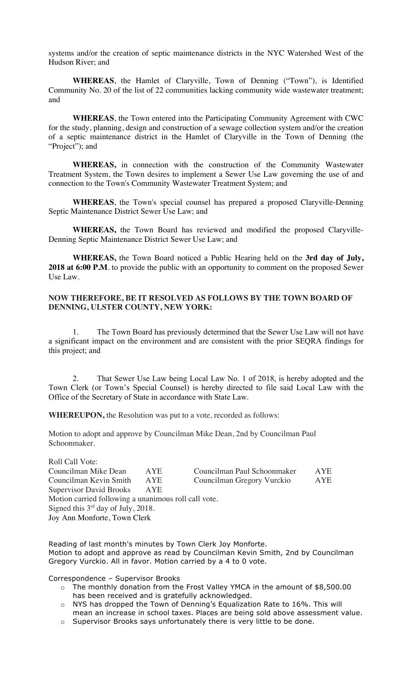systems and/or the creation of septic maintenance districts in the NYC Watershed West of the Hudson River; and

**WHEREAS**, the Hamlet of Claryville, Town of Denning ("Town"), is Identified Community No. 20 of the list of 22 communities lacking community wide wastewater treatment; and

**WHEREAS**, the Town entered into the Participating Community Agreement with CWC for the study, planning, design and construction of a sewage collection system and/or the creation of a septic maintenance district in the Hamlet of Claryville in the Town of Denning (the "Project"); and

**WHEREAS,** in connection with the construction of the Community Wastewater Treatment System, the Town desires to implement a Sewer Use Law governing the use of and connection to the Town's Community Wastewater Treatment System; and

**WHEREAS**, the Town's special counsel has prepared a proposed Claryville-Denning Septic Maintenance District Sewer Use Law; and

**WHEREAS,** the Town Board has reviewed and modified the proposed Claryville-Denning Septic Maintenance District Sewer Use Law; and

**WHEREAS,** the Town Board noticed a Public Hearing held on the **3rd day of July,**  2018 at 6:00 P.M. to provide the public with an opportunity to comment on the proposed Sewer Use Law.

# **NOW THEREFORE, BE IT RESOLVED AS FOLLOWS BY THE TOWN BOARD OF DENNING, ULSTER COUNTY, NEW YORK:**

1. The Town Board has previously determined that the Sewer Use Law will not have a significant impact on the environment and are consistent with the prior SEQRA findings for this project; and

2. That Sewer Use Law being Local Law No. 1 of 2018, is hereby adopted and the Town Clerk (or Town's Special Counsel) is hereby directed to file said Local Law with the Office of the Secretary of State in accordance with State Law.

**WHEREUPON,** the Resolution was put to a vote, recorded as follows:

Motion to adopt and approve by Councilman Mike Dean, 2nd by Councilman Paul Schoonmaker.

Roll Call Vote: Councilman Mike Dean AYE Councilman Paul Schoonmaker AYE Councilman Kevin Smith AYE Councilman Gregory Vurckio AYE Supervisor David Brooks Motion carried following a unanimous roll call vote. Signed this  $3<sup>rd</sup>$  day of July, 2018. Joy Ann Monforte, Town Clerk

Reading of last month's minutes by Town Clerk Joy Monforte. Motion to adopt and approve as read by Councilman Kevin Smith, 2nd by Councilman Gregory Vurckio. All in favor. Motion carried by a 4 to 0 vote.

Correspondence – Supervisor Brooks

- o The monthly donation from the Frost Valley YMCA in the amount of \$8,500.00 has been received and is gratefully acknowledged.
- o NYS has dropped the Town of Denning's Equalization Rate to 16%. This will mean an increase in school taxes. Places are being sold above assessment value.
- o Supervisor Brooks says unfortunately there is very little to be done.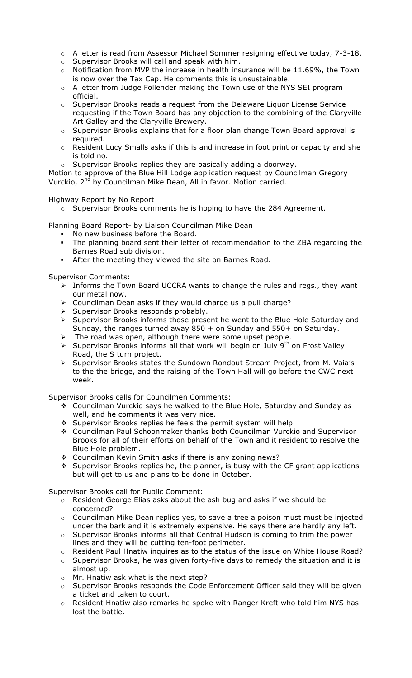- o A letter is read from Assessor Michael Sommer resigning effective today, 7-3-18.
- o Supervisor Brooks will call and speak with him.
- $\circ$  Notification from MVP the increase in health insurance will be 11.69%, the Town is now over the Tax Cap. He comments this is unsustainable.
- o A letter from Judge Follender making the Town use of the NYS SEI program official.
- o Supervisor Brooks reads a request from the Delaware Liquor License Service requesting if the Town Board has any objection to the combining of the Claryville Art Galley and the Claryville Brewery.
- $\circ$  Supervisor Brooks explains that for a floor plan change Town Board approval is required.
- o Resident Lucy Smalls asks if this is and increase in foot print or capacity and she is told no.
- o Supervisor Brooks replies they are basically adding a doorway.

Motion to approve of the Blue Hill Lodge application request by Councilman Gregory Vurckio, 2<sup>nd</sup> by Councilman Mike Dean, All in favor. Motion carried.

# Highway Report by No Report

o Supervisor Brooks comments he is hoping to have the 284 Agreement.

Planning Board Report- by Liaison Councilman Mike Dean

- " No new business before the Board.
- The planning board sent their letter of recommendation to the ZBA regarding the Barnes Road sub division.
- After the meeting they viewed the site on Barnes Road.

Supervisor Comments:

- > Informs the Town Board UCCRA wants to change the rules and regs., they want our metal now.
- $\triangleright$  Councilman Dean asks if they would charge us a pull charge?
- $\triangleright$  Supervisor Brooks responds probably.
- ! Supervisor Brooks informs those present he went to the Blue Hole Saturday and Sunday, the ranges turned away 850 + on Sunday and 550+ on Saturday.
- The road was open, although there were some upset people.
- $\triangleright$  Supervisor Brooks informs all that work will begin on July 9<sup>th</sup> on Frost Valley Road, the S turn project.
- ! Supervisor Brooks states the Sundown Rondout Stream Project, from M. Vaia's to the the bridge, and the raising of the Town Hall will go before the CWC next week.

Supervisor Brooks calls for Councilmen Comments:

- # Councilman Vurckio says he walked to the Blue Hole, Saturday and Sunday as well, and he comments it was very nice.
- ❖ Supervisor Brooks replies he feels the permit system will help.
- # Councilman Paul Schoonmaker thanks both Councilman Vurckio and Supervisor Brooks for all of their efforts on behalf of the Town and it resident to resolve the Blue Hole problem.
- ◆ Councilman Kevin Smith asks if there is any zoning news?
- $\div$  Supervisor Brooks replies he, the planner, is busy with the CF grant applications but will get to us and plans to be done in October.

Supervisor Brooks call for Public Comment:

- $\circ$  Resident George Elias asks about the ash bug and asks if we should be concerned?
- $\circ$  Councilman Mike Dean replies yes, to save a tree a poison must must be injected under the bark and it is extremely expensive. He says there are hardly any left.
- o Supervisor Brooks informs all that Central Hudson is coming to trim the power lines and they will be cutting ten-foot perimeter.
- o Resident Paul Hnatiw inquires as to the status of the issue on White House Road?
- $\circ$  Supervisor Brooks, he was given forty-five days to remedy the situation and it is almost up.
- o Mr. Hnatiw ask what is the next step?
- o Supervisor Brooks responds the Code Enforcement Officer said they will be given a ticket and taken to court.
- $\circ$  Resident Hnatiw also remarks he spoke with Ranger Kreft who told him NYS has lost the battle.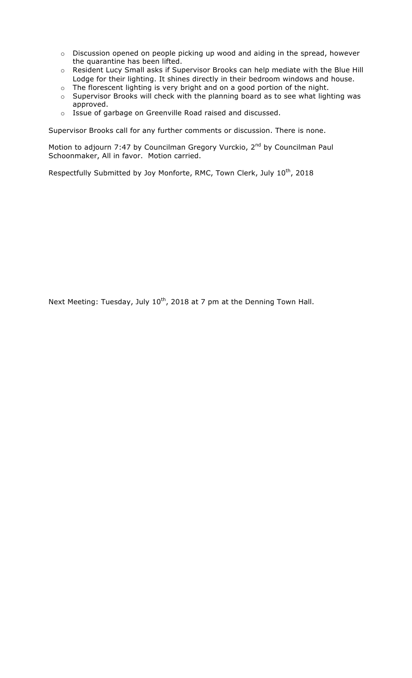- o Discussion opened on people picking up wood and aiding in the spread, however the quarantine has been lifted.
- o Resident Lucy Small asks if Supervisor Brooks can help mediate with the Blue Hill Lodge for their lighting. It shines directly in their bedroom windows and house.
- o The florescent lighting is very bright and on a good portion of the night.
- o Supervisor Brooks will check with the planning board as to see what lighting was approved.
- o Issue of garbage on Greenville Road raised and discussed.

Supervisor Brooks call for any further comments or discussion. There is none.

Motion to adjourn 7:47 by Councilman Gregory Vurckio, 2<sup>nd</sup> by Councilman Paul Schoonmaker, All in favor. Motion carried.

Respectfully Submitted by Joy Monforte, RMC, Town Clerk, July 10<sup>th</sup>, 2018

Next Meeting: Tuesday, July 10<sup>th</sup>, 2018 at 7 pm at the Denning Town Hall.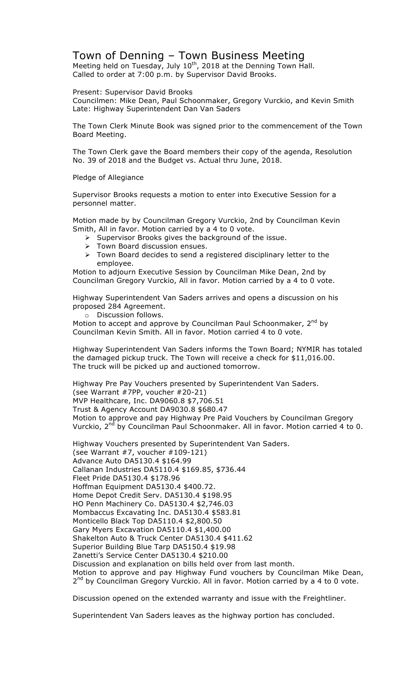# Town of Denning – Town Business Meeting

Meeting held on Tuesday, July  $10^{th}$ , 2018 at the Denning Town Hall. Called to order at 7:00 p.m. by Supervisor David Brooks.

Present: Supervisor David Brooks

Councilmen: Mike Dean, Paul Schoonmaker, Gregory Vurckio, and Kevin Smith Late: Highway Superintendent Dan Van Saders

The Town Clerk Minute Book was signed prior to the commencement of the Town Board Meeting.

The Town Clerk gave the Board members their copy of the agenda, Resolution No. 39 of 2018 and the Budget vs. Actual thru June, 2018.

Pledge of Allegiance

Supervisor Brooks requests a motion to enter into Executive Session for a personnel matter.

Motion made by by Councilman Gregory Vurckio, 2nd by Councilman Kevin Smith, All in favor. Motion carried by a 4 to 0 vote.

- $\triangleright$  Supervisor Brooks gives the background of the issue.
- > Town Board discussion ensues.
- $\triangleright$  Town Board decides to send a registered disciplinary letter to the employee.

Motion to adjourn Executive Session by Councilman Mike Dean, 2nd by Councilman Gregory Vurckio, All in favor. Motion carried by a 4 to 0 vote.

Highway Superintendent Van Saders arrives and opens a discussion on his proposed 284 Agreement.

o Discussion follows.

Motion to accept and approve by Councilman Paul Schoonmaker, 2<sup>nd</sup> by Councilman Kevin Smith. All in favor. Motion carried 4 to 0 vote.

Highway Superintendent Van Saders informs the Town Board; NYMIR has totaled the damaged pickup truck. The Town will receive a check for \$11,016.00. The truck will be picked up and auctioned tomorrow.

Highway Pre Pay Vouchers presented by Superintendent Van Saders. (see Warrant #7PP, voucher #20-21) MVP Healthcare, Inc. DA9060.8 \$7,706.51 Trust & Agency Account DA9030.8 \$680.47 Motion to approve and pay Highway Pre Paid Vouchers by Councilman Gregory Vurckio, 2<sup>nd</sup> by Councilman Paul Schoonmaker. All in favor. Motion carried 4 to 0.

Highway Vouchers presented by Superintendent Van Saders. (see Warrant #7, voucher #109-121) Advance Auto DA5130.4 \$164.99 Callanan Industries DA5110.4 \$169.85, \$736.44 Fleet Pride DA5130.4 \$178.96 Hoffman Equipment DA5130.4 \$400.72. Home Depot Credit Serv. DA5130.4 \$198.95 HO Penn Machinery Co. DA5130.4 \$2,746.03 Mombaccus Excavating Inc. DA5130.4 \$583.81 Monticello Black Top DA5110.4 \$2,800.50 Gary Myers Excavation DA5110.4 \$1,400.00 Shakelton Auto & Truck Center DA5130.4 \$411.62 Superior Building Blue Tarp DA5150.4 \$19.98 Zanetti's Service Center DA5130.4 \$210.00 Discussion and explanation on bills held over from last month. Motion to approve and pay Highway Fund vouchers by Councilman Mike Dean,  $2^{nd}$  by Councilman Gregory Vurckio. All in favor. Motion carried by a 4 to 0 vote.

Discussion opened on the extended warranty and issue with the Freightliner.

Superintendent Van Saders leaves as the highway portion has concluded.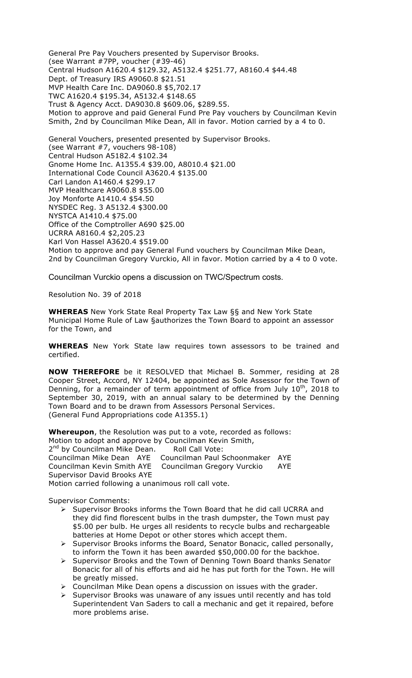General Pre Pay Vouchers presented by Supervisor Brooks. (see Warrant #7PP, voucher (#39-46) Central Hudson A1620.4 \$129.32, A5132.4 \$251.77, A8160.4 \$44.48 Dept. of Treasury IRS A9060.8 \$21.51 MVP Health Care Inc. DA9060.8 \$5,702.17 TWC A1620.4 \$195.34, A5132.4 \$148.65 Trust & Agency Acct. DA9030.8 \$609.06, \$289.55. Motion to approve and paid General Fund Pre Pay vouchers by Councilman Kevin Smith, 2nd by Councilman Mike Dean, All in favor. Motion carried by a 4 to 0.

General Vouchers, presented presented by Supervisor Brooks. (see Warrant #7, vouchers 98-108) Central Hudson A5182.4 \$102.34 Gnome Home Inc. A1355.4 \$39.00, A8010.4 \$21.00 International Code Council A3620.4 \$135.00 Carl Landon A1460.4 \$299.17 MVP Healthcare A9060.8 \$55.00 Joy Monforte A1410.4 \$54.50 NYSDEC Reg. 3 A5132.4 \$300.00 NYSTCA A1410.4 \$75.00 Office of the Comptroller A690 \$25.00 UCRRA A8160.4 \$2,205.23 Karl Von Hassel A3620.4 \$519.00 Motion to approve and pay General Fund vouchers by Councilman Mike Dean, 2nd by Councilman Gregory Vurckio, All in favor. Motion carried by a 4 to 0 vote.

Councilman Vurckio opens a discussion on TWC/Spectrum costs.

Resolution No. 39 of 2018

**WHEREAS** New York State Real Property Tax Law §§ and New York State Municipal Home Rule of Law §authorizes the Town Board to appoint an assessor for the Town, and

**WHEREAS** New York State law requires town assessors to be trained and certified.

**NOW THEREFORE** be it RESOLVED that Michael B. Sommer, residing at 28 Cooper Street, Accord, NY 12404, be appointed as Sole Assessor for the Town of Denning, for a remainder of term appointment of office from July  $10^{th}$ , 2018 to September 30, 2019, with an annual salary to be determined by the Denning Town Board and to be drawn from Assessors Personal Services. (General Fund Appropriations code A1355.1)

**Whereupon**, the Resolution was put to a vote, recorded as follows: Motion to adopt and approve by Councilman Kevin Smith, 2<sup>nd</sup> by Councilman Mike Dean. Roll Call Vote: Councilman Mike Dean AYE Councilman Paul Schoonmaker AYE Councilman Kevin Smith AYE Councilman Gregory Vurckio AYE Supervisor David Brooks AYE Motion carried following a unanimous roll call vote.

Supervisor Comments:

- ! Supervisor Brooks informs the Town Board that he did call UCRRA and they did find florescent bulbs in the trash dumpster, the Town must pay \$5.00 per bulb. He urges all residents to recycle bulbs and rechargeable batteries at Home Depot or other stores which accept them.
- $\triangleright$  Supervisor Brooks informs the Board, Senator Bonacic, called personally, to inform the Town it has been awarded \$50,000.00 for the backhoe.
- > Supervisor Brooks and the Town of Denning Town Board thanks Senator Bonacic for all of his efforts and aid he has put forth for the Town. He will be greatly missed.
- $\triangleright$  Councilman Mike Dean opens a discussion on issues with the grader.
- $\triangleright$  Supervisor Brooks was unaware of any issues until recently and has told Superintendent Van Saders to call a mechanic and get it repaired, before more problems arise.